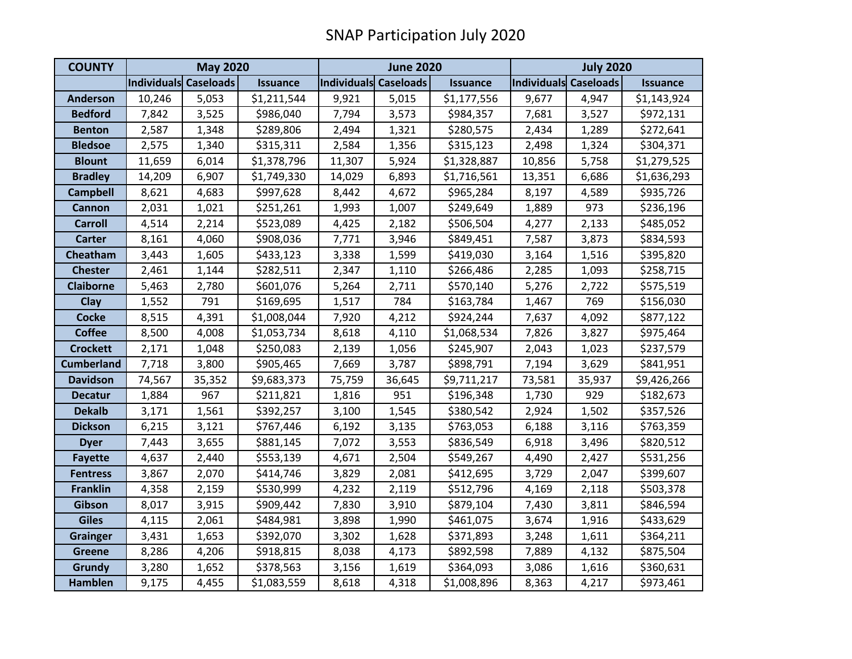| <b>COUNTY</b>     | <b>May 2020</b>       |        |                 | <b>June 2020</b>      |        |             | <b>July 2020</b>      |        |                 |
|-------------------|-----------------------|--------|-----------------|-----------------------|--------|-------------|-----------------------|--------|-----------------|
|                   | Individuals Caseloads |        | <b>Issuance</b> | Individuals Caseloads |        | Issuance    | Individuals Caseloads |        | <b>Issuance</b> |
| <b>Anderson</b>   | 10,246                | 5,053  | \$1,211,544     | 9,921                 | 5,015  | \$1,177,556 | 9,677                 | 4,947  | \$1,143,924     |
| <b>Bedford</b>    | 7,842                 | 3,525  | \$986,040       | 7,794                 | 3,573  | \$984,357   | 7,681                 | 3,527  | \$972,131       |
| <b>Benton</b>     | 2,587                 | 1,348  | \$289,806       | 2,494                 | 1,321  | \$280,575   | 2,434                 | 1,289  | \$272,641       |
| <b>Bledsoe</b>    | 2,575                 | 1,340  | \$315,311       | 2,584                 | 1,356  | \$315,123   | 2,498                 | 1,324  | \$304,371       |
| <b>Blount</b>     | 11,659                | 6,014  | \$1,378,796     | 11,307                | 5,924  | \$1,328,887 | 10,856                | 5,758  | \$1,279,525     |
| <b>Bradley</b>    | 14,209                | 6,907  | \$1,749,330     | 14,029                | 6,893  | \$1,716,561 | 13,351                | 6,686  | \$1,636,293     |
| <b>Campbell</b>   | 8,621                 | 4,683  | \$997,628       | 8,442                 | 4,672  | \$965,284   | 8,197                 | 4,589  | \$935,726       |
| <b>Cannon</b>     | 2,031                 | 1,021  | \$251,261       | 1,993                 | 1,007  | \$249,649   | 1,889                 | 973    | \$236,196       |
| <b>Carroll</b>    | 4,514                 | 2,214  | \$523,089       | 4,425                 | 2,182  | \$506,504   | 4,277                 | 2,133  | \$485,052       |
| <b>Carter</b>     | 8,161                 | 4,060  | \$908,036       | 7,771                 | 3,946  | \$849,451   | 7,587                 | 3,873  | \$834,593       |
| Cheatham          | 3,443                 | 1,605  | \$433,123       | 3,338                 | 1,599  | \$419,030   | 3,164                 | 1,516  | \$395,820       |
| <b>Chester</b>    | 2,461                 | 1,144  | \$282,511       | 2,347                 | 1,110  | \$266,486   | 2,285                 | 1,093  | \$258,715       |
| <b>Claiborne</b>  | 5,463                 | 2,780  | \$601,076       | 5,264                 | 2,711  | \$570,140   | 5,276                 | 2,722  | \$575,519       |
| <b>Clay</b>       | 1,552                 | 791    | \$169,695       | 1,517                 | 784    | \$163,784   | 1,467                 | 769    | \$156,030       |
| <b>Cocke</b>      | 8,515                 | 4,391  | \$1,008,044     | 7,920                 | 4,212  | \$924,244   | 7,637                 | 4,092  | \$877,122       |
| <b>Coffee</b>     | 8,500                 | 4,008  | \$1,053,734     | 8,618                 | 4,110  | \$1,068,534 | 7,826                 | 3,827  | \$975,464       |
| <b>Crockett</b>   | 2,171                 | 1,048  | \$250,083       | 2,139                 | 1,056  | \$245,907   | 2,043                 | 1,023  | \$237,579       |
| <b>Cumberland</b> | 7,718                 | 3,800  | \$905,465       | 7,669                 | 3,787  | \$898,791   | 7,194                 | 3,629  | \$841,951       |
| <b>Davidson</b>   | 74,567                | 35,352 | \$9,683,373     | 75,759                | 36,645 | \$9,711,217 | 73,581                | 35,937 | \$9,426,266     |
| <b>Decatur</b>    | 1,884                 | 967    | \$211,821       | 1,816                 | 951    | \$196,348   | 1,730                 | 929    | \$182,673       |
| <b>Dekalb</b>     | 3,171                 | 1,561  | \$392,257       | 3,100                 | 1,545  | \$380,542   | 2,924                 | 1,502  | \$357,526       |
| <b>Dickson</b>    | 6,215                 | 3,121  | \$767,446       | 6,192                 | 3,135  | \$763,053   | 6,188                 | 3,116  | \$763,359       |
| <b>Dyer</b>       | 7,443                 | 3,655  | \$881,145       | 7,072                 | 3,553  | \$836,549   | 6,918                 | 3,496  | \$820,512       |
| <b>Fayette</b>    | 4,637                 | 2,440  | \$553,139       | 4,671                 | 2,504  | \$549,267   | 4,490                 | 2,427  | \$531,256       |
| <b>Fentress</b>   | 3,867                 | 2,070  | \$414,746       | 3,829                 | 2,081  | \$412,695   | 3,729                 | 2,047  | \$399,607       |
| <b>Franklin</b>   | 4,358                 | 2,159  | \$530,999       | 4,232                 | 2,119  | \$512,796   | 4,169                 | 2,118  | \$503,378       |
| Gibson            | 8,017                 | 3,915  | \$909,442       | 7,830                 | 3,910  | \$879,104   | 7,430                 | 3,811  | \$846,594       |
| <b>Giles</b>      | 4,115                 | 2,061  | \$484,981       | 3,898                 | 1,990  | \$461,075   | 3,674                 | 1,916  | \$433,629       |
| <b>Grainger</b>   | 3,431                 | 1,653  | \$392,070       | 3,302                 | 1,628  | \$371,893   | 3,248                 | 1,611  | \$364,211       |
| <b>Greene</b>     | 8,286                 | 4,206  | \$918,815       | 8,038                 | 4,173  | \$892,598   | 7,889                 | 4,132  | \$875,504       |
| <b>Grundy</b>     | 3,280                 | 1,652  | \$378,563       | 3,156                 | 1,619  | \$364,093   | 3,086                 | 1,616  | \$360,631       |
| <b>Hamblen</b>    | 9,175                 | 4,455  | \$1,083,559     | 8,618                 | 4,318  | \$1,008,896 | 8,363                 | 4,217  | \$973,461       |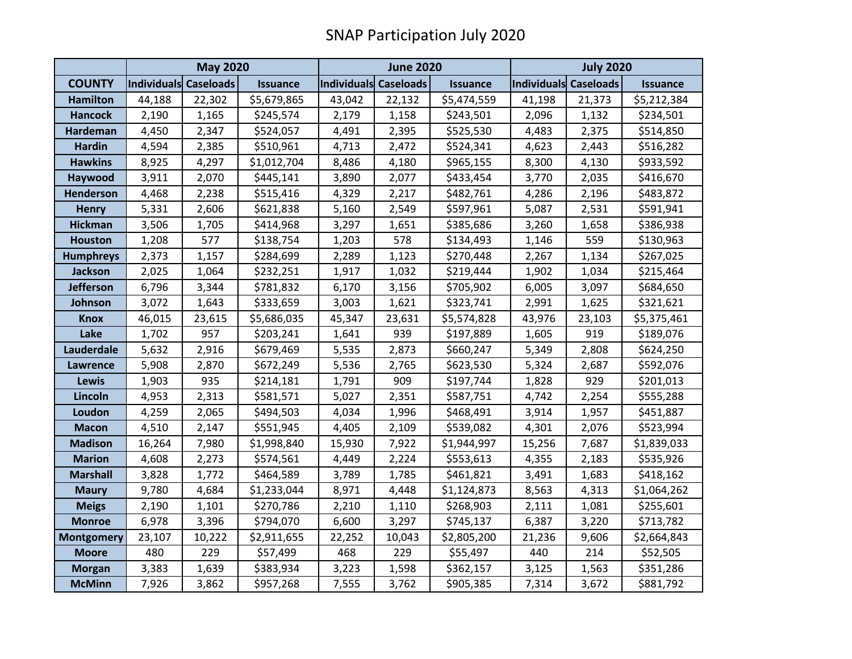|                   | <b>May 2020</b>       |        |                 |                       | <b>June 2020</b> |                 |                       | <b>July 2020</b> |                 |  |
|-------------------|-----------------------|--------|-----------------|-----------------------|------------------|-----------------|-----------------------|------------------|-----------------|--|
| <b>COUNTY</b>     | Individuals Caseloads |        | <b>Issuance</b> | Individuals Caseloads |                  | <b>Issuance</b> | Individuals Caseloads |                  | <b>Issuance</b> |  |
| <b>Hamilton</b>   | 44,188                | 22,302 | \$5,679,865     | 43,042                | 22,132           | \$5,474,559     | 41,198                | 21,373           | \$5,212,384     |  |
| <b>Hancock</b>    | 2,190                 | 1,165  | \$245,574       | 2,179                 | 1,158            | \$243,501       | 2,096                 | 1,132            | \$234,501       |  |
| <b>Hardeman</b>   | 4,450                 | 2,347  | \$524,057       | 4,491                 | 2,395            | \$525,530       | 4,483                 | 2,375            | \$514,850       |  |
| <b>Hardin</b>     | 4,594                 | 2,385  | \$510,961       | 4,713                 | 2,472            | \$524,341       | 4,623                 | 2,443            | \$516,282       |  |
| <b>Hawkins</b>    | 8,925                 | 4,297  | \$1,012,704     | 8,486                 | 4,180            | \$965,155       | 8,300                 | 4,130            | \$933,592       |  |
| Haywood           | 3,911                 | 2,070  | \$445,141       | 3,890                 | 2,077            | \$433,454       | 3,770                 | 2,035            | \$416,670       |  |
| <b>Henderson</b>  | 4,468                 | 2,238  | \$515,416       | 4,329                 | 2,217            | \$482,761       | 4,286                 | 2,196            | \$483,872       |  |
| <b>Henry</b>      | 5,331                 | 2,606  | \$621,838       | 5,160                 | 2,549            | \$597,961       | 5,087                 | 2,531            | \$591,941       |  |
| <b>Hickman</b>    | 3,506                 | 1,705  | \$414,968       | 3,297                 | 1,651            | \$385,686       | 3,260                 | 1,658            | \$386,938       |  |
| <b>Houston</b>    | 1,208                 | 577    | \$138,754       | 1,203                 | 578              | \$134,493       | 1,146                 | 559              | \$130,963       |  |
| <b>Humphreys</b>  | 2,373                 | 1,157  | \$284,699       | 2,289                 | 1,123            | \$270,448       | 2,267                 | 1,134            | \$267,025       |  |
| <b>Jackson</b>    | 2,025                 | 1,064  | \$232,251       | 1,917                 | 1,032            | \$219,444       | 1,902                 | 1,034            | \$215,464       |  |
| <b>Jefferson</b>  | 6,796                 | 3,344  | \$781,832       | 6,170                 | 3,156            | \$705,902       | 6,005                 | 3,097            | \$684,650       |  |
| Johnson           | 3,072                 | 1,643  | \$333,659       | 3,003                 | 1,621            | \$323,741       | 2,991                 | 1,625            | \$321,621       |  |
| <b>Knox</b>       | 46,015                | 23,615 | \$5,686,035     | 45,347                | 23,631           | \$5,574,828     | 43,976                | 23,103           | \$5,375,461     |  |
| Lake              | 1,702                 | 957    | \$203,241       | 1,641                 | 939              | \$197,889       | 1,605                 | 919              | \$189,076       |  |
| Lauderdale        | 5,632                 | 2,916  | \$679,469       | 5,535                 | 2,873            | \$660,247       | 5,349                 | 2,808            | \$624,250       |  |
| Lawrence          | 5,908                 | 2,870  | \$672,249       | 5,536                 | 2,765            | \$623,530       | 5,324                 | 2,687            | \$592,076       |  |
| Lewis             | 1,903                 | 935    | \$214,181       | 1,791                 | 909              | \$197,744       | 1,828                 | 929              | \$201,013       |  |
| Lincoln           | 4,953                 | 2,313  | \$581,571       | 5,027                 | 2,351            | \$587,751       | 4,742                 | 2,254            | \$555,288       |  |
| Loudon            | 4,259                 | 2,065  | \$494,503       | 4,034                 | 1,996            | \$468,491       | 3,914                 | 1,957            | \$451,887       |  |
| <b>Macon</b>      | 4,510                 | 2,147  | \$551,945       | 4,405                 | 2,109            | \$539,082       | 4,301                 | 2,076            | \$523,994       |  |
| <b>Madison</b>    | 16,264                | 7,980  | \$1,998,840     | 15,930                | 7,922            | \$1,944,997     | 15,256                | 7,687            | \$1,839,033     |  |
| <b>Marion</b>     | 4,608                 | 2,273  | \$574,561       | 4,449                 | 2,224            | \$553,613       | 4,355                 | 2,183            | \$535,926       |  |
| <b>Marshall</b>   | 3,828                 | 1,772  | \$464,589       | 3,789                 | 1,785            | \$461,821       | 3,491                 | 1,683            | \$418,162       |  |
| <b>Maury</b>      | 9,780                 | 4,684  | \$1,233,044     | 8,971                 | 4,448            | \$1,124,873     | 8,563                 | 4,313            | \$1,064,262     |  |
| <b>Meigs</b>      | 2,190                 | 1,101  | \$270,786       | 2,210                 | 1,110            | \$268,903       | 2,111                 | 1,081            | \$255,601       |  |
| <b>Monroe</b>     | 6,978                 | 3,396  | \$794,070       | 6,600                 | 3,297            | \$745,137       | 6,387                 | 3,220            | \$713,782       |  |
| <b>Montgomery</b> | 23,107                | 10,222 | \$2,911,655     | 22,252                | 10,043           | \$2,805,200     | 21,236                | 9,606            | \$2,664,843     |  |
| <b>Moore</b>      | 480                   | 229    | \$57,499        | 468                   | 229              | \$55,497        | 440                   | 214              | \$52,505        |  |
| <b>Morgan</b>     | 3,383                 | 1,639  | \$383,934       | 3,223                 | 1,598            | \$362,157       | 3,125                 | 1,563            | \$351,286       |  |
| <b>McMinn</b>     | 7,926                 | 3,862  | \$957,268       | 7,555                 | 3,762            | \$905,385       | 7,314                 | 3,672            | \$881,792       |  |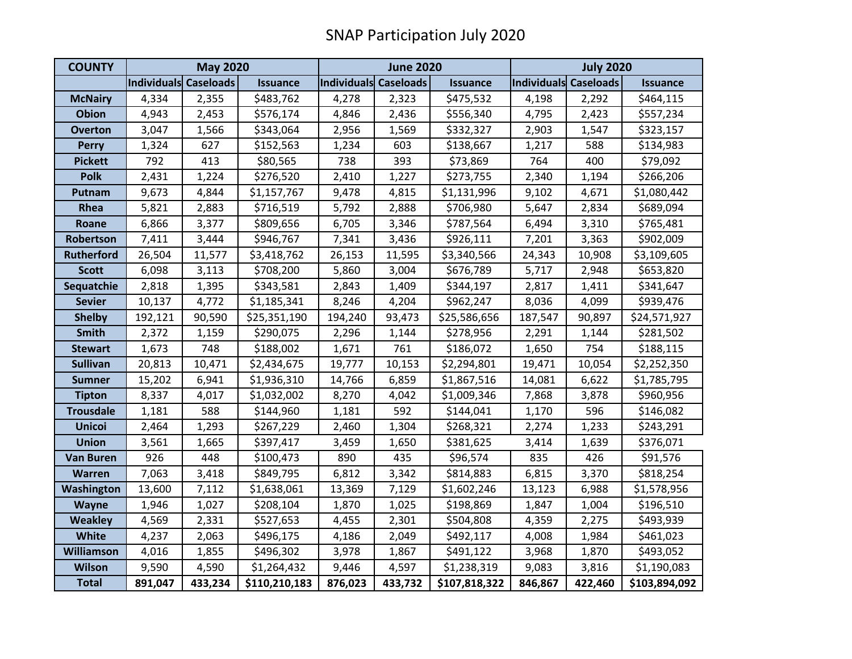| <b>COUNTY</b>     | <b>May 2020</b>       |         |                 | <b>June 2020</b>      |         |                 | <b>July 2020</b>      |         |                 |
|-------------------|-----------------------|---------|-----------------|-----------------------|---------|-----------------|-----------------------|---------|-----------------|
|                   | Individuals Caseloads |         | <b>Issuance</b> | Individuals Caseloads |         | <b>Issuance</b> | Individuals Caseloads |         | <b>Issuance</b> |
| <b>McNairy</b>    | 4,334                 | 2,355   | \$483,762       | 4,278                 | 2,323   | \$475,532       | 4,198                 | 2,292   | \$464,115       |
| <b>Obion</b>      | 4,943                 | 2,453   | \$576,174       | 4,846                 | 2,436   | \$556,340       | 4,795                 | 2,423   | \$557,234       |
| <b>Overton</b>    | 3,047                 | 1,566   | \$343,064       | 2,956                 | 1,569   | \$332,327       | 2,903                 | 1,547   | \$323,157       |
| <b>Perry</b>      | 1,324                 | 627     | \$152,563       | 1,234                 | 603     | \$138,667       | 1,217                 | 588     | \$134,983       |
| <b>Pickett</b>    | 792                   | 413     | \$80,565        | 738                   | 393     | \$73,869        | 764                   | 400     | \$79,092        |
| <b>Polk</b>       | 2,431                 | 1,224   | \$276,520       | 2,410                 | 1,227   | \$273,755       | 2,340                 | 1,194   | \$266,206       |
| Putnam            | 9,673                 | 4,844   | \$1,157,767     | 9,478                 | 4,815   | \$1,131,996     | 9,102                 | 4,671   | \$1,080,442     |
| Rhea              | 5,821                 | 2,883   | \$716,519       | 5,792                 | 2,888   | \$706,980       | 5,647                 | 2,834   | \$689,094       |
| Roane             | 6,866                 | 3,377   | \$809,656       | 6,705                 | 3,346   | \$787,564       | 6,494                 | 3,310   | \$765,481       |
| Robertson         | 7,411                 | 3,444   | \$946,767       | 7,341                 | 3,436   | \$926,111       | 7,201                 | 3,363   | \$902,009       |
| <b>Rutherford</b> | 26,504                | 11,577  | \$3,418,762     | 26,153                | 11,595  | \$3,340,566     | 24,343                | 10,908  | \$3,109,605     |
| <b>Scott</b>      | 6,098                 | 3,113   | \$708,200       | 5,860                 | 3,004   | \$676,789       | 5,717                 | 2,948   | \$653,820       |
| Sequatchie        | 2,818                 | 1,395   | \$343,581       | 2,843                 | 1,409   | \$344,197       | 2,817                 | 1,411   | \$341,647       |
| <b>Sevier</b>     | 10,137                | 4,772   | \$1,185,341     | 8,246                 | 4,204   | \$962,247       | 8,036                 | 4,099   | \$939,476       |
| <b>Shelby</b>     | 192,121               | 90,590  | \$25,351,190    | 194,240               | 93,473  | \$25,586,656    | 187,547               | 90,897  | \$24,571,927    |
| <b>Smith</b>      | 2,372                 | 1,159   | \$290,075       | 2,296                 | 1,144   | \$278,956       | 2,291                 | 1,144   | \$281,502       |
| <b>Stewart</b>    | 1,673                 | 748     | \$188,002       | 1,671                 | 761     | \$186,072       | 1,650                 | 754     | \$188,115       |
| <b>Sullivan</b>   | 20,813                | 10,471  | \$2,434,675     | 19,777                | 10,153  | \$2,294,801     | 19,471                | 10,054  | \$2,252,350     |
| <b>Sumner</b>     | 15,202                | 6,941   | \$1,936,310     | 14,766                | 6,859   | \$1,867,516     | 14,081                | 6,622   | \$1,785,795     |
| <b>Tipton</b>     | 8,337                 | 4,017   | \$1,032,002     | 8,270                 | 4,042   | \$1,009,346     | 7,868                 | 3,878   | \$960,956       |
| <b>Trousdale</b>  | 1,181                 | 588     | \$144,960       | 1,181                 | 592     | \$144,041       | 1,170                 | 596     | \$146,082       |
| <b>Unicoi</b>     | 2,464                 | 1,293   | \$267,229       | 2,460                 | 1,304   | \$268,321       | 2,274                 | 1,233   | \$243,291       |
| <b>Union</b>      | 3,561                 | 1,665   | \$397,417       | 3,459                 | 1,650   | \$381,625       | 3,414                 | 1,639   | \$376,071       |
| <b>Van Buren</b>  | 926                   | 448     | \$100,473       | 890                   | 435     | \$96,574        | 835                   | 426     | \$91,576        |
| Warren            | 7,063                 | 3,418   | \$849,795       | 6,812                 | 3,342   | \$814,883       | 6,815                 | 3,370   | \$818,254       |
| <b>Washington</b> | 13,600                | 7,112   | \$1,638,061     | 13,369                | 7,129   | \$1,602,246     | 13,123                | 6,988   | \$1,578,956     |
| Wayne             | 1,946                 | 1,027   | \$208,104       | 1,870                 | 1,025   | \$198,869       | 1,847                 | 1,004   | \$196,510       |
| <b>Weakley</b>    | 4,569                 | 2,331   | \$527,653       | 4,455                 | 2,301   | \$504,808       | 4,359                 | 2,275   | \$493,939       |
| White             | 4,237                 | 2,063   | \$496,175       | 4,186                 | 2,049   | \$492,117       | 4,008                 | 1,984   | \$461,023       |
| <b>Williamson</b> | 4,016                 | 1,855   | \$496,302       | 3,978                 | 1,867   | \$491,122       | 3,968                 | 1,870   | \$493,052       |
| <b>Wilson</b>     | 9,590                 | 4,590   | \$1,264,432     | 9,446                 | 4,597   | \$1,238,319     | 9,083                 | 3,816   | \$1,190,083     |
| <b>Total</b>      | 891,047               | 433,234 | \$110,210,183   | 876,023               | 433,732 | \$107,818,322   | 846,867               | 422,460 | \$103,894,092   |